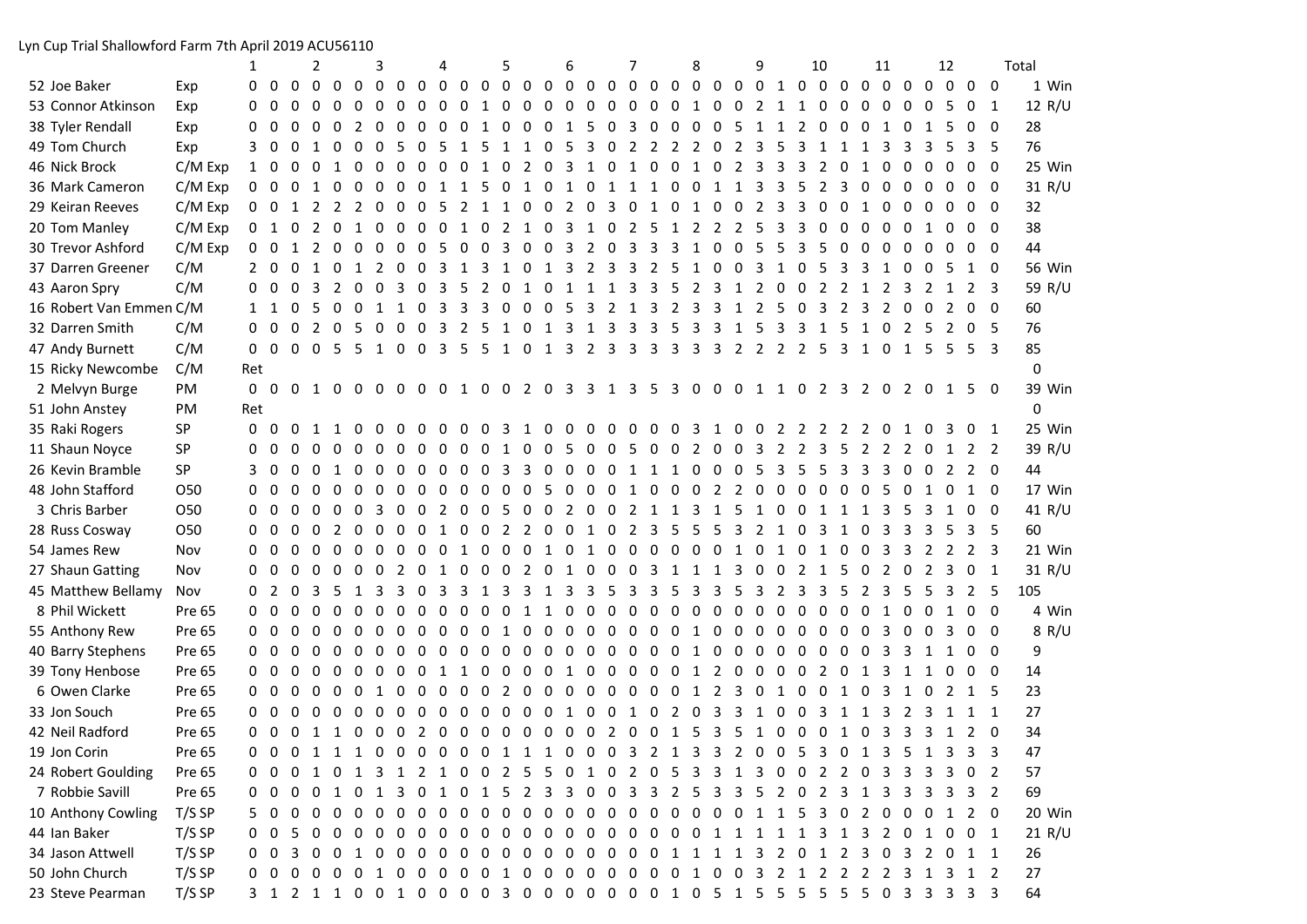Lyn Cup Trial Shallowford Farm 7th April 2019 ACU56110

|                         |                 | 1              |          |          | 2              |              |               | 3              |                 |                | 4            |                |                               | 5                       |                |                     | 6                       |                         |                         | 7                               |                |                         | 8              |                                                 |                | 9                       |                | 10             |                         |             |                | 11             |                |                | 12           |                                                                           |          | Total         |
|-------------------------|-----------------|----------------|----------|----------|----------------|--------------|---------------|----------------|-----------------|----------------|--------------|----------------|-------------------------------|-------------------------|----------------|---------------------|-------------------------|-------------------------|-------------------------|---------------------------------|----------------|-------------------------|----------------|-------------------------------------------------|----------------|-------------------------|----------------|----------------|-------------------------|-------------|----------------|----------------|----------------|----------------|--------------|---------------------------------------------------------------------------|----------|---------------|
| 52 Joe Baker            | Exp             | 0              | $\Omega$ | $\Omega$ | $\Omega$       | $\Omega$     | $\Omega$      | $\Omega$       | $\Omega$        | $\Omega$       | $\Omega$     |                | $00$ 0                        |                         |                | $00$ 0              |                         | $\Omega$                | $0\quad 0$              |                                 | $\Omega$       | $\overline{0}$          | $\Omega$       | $\Omega$                                        | $0\quad 0$     |                         | 1 0            |                | $\Omega$                | $\Omega$    | 0 <sub>0</sub> |                | $\Omega$       | $\Omega$       | $\Omega$     | $\Omega$                                                                  | $\Omega$ | 1 Win         |
| 53 Connor Atkinson      | Exp             | 0              | $\Omega$ | $\Omega$ | $\Omega$       | $\Omega$     | $\Omega$      | $\Omega$       | $\Omega$        | $\Omega$       | $\Omega$     | $\Omega$       | $\mathbf{1}$                  | $\Omega$                | $\Omega$       | $\Omega$            | $\Omega$                | $\Omega$                | $\Omega$                | 0                               | $\Omega$       | $\mathbf{0}$            | 1              | $\Omega$                                        | $\Omega$       | 2                       | 1              | 1              | $\Omega$                | $\Omega$    | $\Omega$       | $\Omega$       | $\Omega$       | $\Omega$       |              | $\mathbf{0}$                                                              | -1       | 12 R/U        |
| 38 Tyler Rendall        | Exp             | 0              | $\Omega$ | $\Omega$ | $\Omega$       | $\Omega$     | $\mathcal{L}$ | $\Omega$       | $\Omega$        | $\Omega$       | $\Omega$     | $\overline{0}$ | 1                             | $\mathbf 0$             | $\mathbf 0$    | $\overline{0}$      | $\mathbf{1}$            | 5                       | $\overline{0}$          | 3                               | $\mathbf 0$    | $\overline{0}$          | 0              | $\Omega$                                        | 5              | 1                       | 1              | 2              | $\Omega$                | $\Omega$    | $\Omega$       | 1              | $\Omega$       |                |              | 0                                                                         | $\Omega$ | 28            |
| 49 Tom Church           | Exp             | 3              | 0        | $\Omega$ | $\mathbf{1}$   | $\Omega$     | $\Omega$      | $\Omega$       | -5              | $\Omega$       | - 5          | 1              | -5                            | $\mathbf{1}$            |                | $1 \quad 0 \quad 5$ |                         | $\overline{\mathbf{3}}$ | $\overline{\mathbf{0}}$ | $\overline{2}$                  |                | 2 2 2 0                 |                |                                                 | 2              | $\overline{3}$          | .5             | 3              | 1                       | 1           | 1              | 3              |                |                |              | 3                                                                         | -5       | 76            |
| 46 Nick Brock           | $C/M$ Exp       | 1 0            |          | $\Omega$ | $\Omega$       | 1            | $\Omega$      | $\Omega$       | $\Omega$        | $\Omega$       |              | $0\quad 0$     | 1                             | $\mathbf{0}$            |                | 2 0                 | 3                       | 1                       | $\mathbf 0$             | 1                               | $\Omega$       | $\mathbf 0$             | 1              | $\mathbf{0}$                                    | 2              | 3                       | 3              | 3              | 2                       | $\Omega$    |                | $\Omega$       | $\Omega$       | $\Omega$       |              | $\Omega$                                                                  | $\Omega$ | 25 Win        |
| 36 Mark Cameron         | $C/M$ Exp       | $0\quad 0$     |          | $\Omega$ | 1              | $\Omega$     | $\mathbf 0$   | $\mathbf{0}$   | 0               | 0              | 1            | 1              | 5                             | $\overline{0}$          | $1\quad 0$     |                     | $1\quad 0$              |                         | 1                       | 1                               | 1              | 0                       | 0              | 1                                               | 1              | 3                       | 3              | 5              | 2                       | 3           | 0              | 0              | $\Omega$       | 0              | 0            | 0                                                                         | 0        | 31 R/U        |
| 29 Keiran Reeves        | $C/M$ Exp       | $0\quad 0$     |          | 1        | 2              | 2            | 2             | $\Omega$       | $\Omega$        | $\overline{0}$ | -5           |                | 2 1 1                         |                         |                | $0\quad 0$          | $2\quad 0$              |                         | 3                       | $\overline{\mathbf{0}}$         | $1\quad 0$     |                         | $\mathbf{1}$   | $\overline{0}$                                  | $\overline{0}$ | 2                       | 3              | 3              | $\Omega$                | $\mathbf 0$ | 1              | $\Omega$       | $\Omega$       | 0              | $\Omega$     | 0                                                                         | 0        | 32            |
| 20 Tom Manley           | $C/M$ Exp       | 0 <sub>1</sub> |          | $\Omega$ | 2              | $\Omega$     | 1             | $\overline{0}$ | 0 0 0 1         |                |              |                |                               |                         | 0 2 1 0 3 1 0  |                     |                         |                         |                         | $\overline{2}$                  | 5              | 1                       | $\overline{2}$ | $\overline{2}$                                  | 2              | 5                       | 3              | 3              | $\mathbf{0}$            | $\Omega$    | $\Omega$       | $\Omega$       | $\Omega$       | $\mathbf{1}$   | $\Omega$     | $\mathbf{0}$                                                              | 0        | 38            |
| 30 Trevor Ashford       | $C/M$ Exp       | $0\quad 0$     |          | 1        | 2              | $\mathbf 0$  | $\Omega$      | $\overline{0}$ | $\overline{0}$  | $\overline{0}$ | 5            | $\overline{0}$ | $\overline{0}$                | $\overline{\mathbf{3}}$ | $0\quad 0$     |                     | $\overline{\mathbf{3}}$ | $\overline{2}$          | $\mathbf 0$             | $\overline{\mathbf{3}}$         | 3              | 3                       | $\mathbf{1}$   | 0                                               | $\mathbf{0}$   | 5                       | 5              | 3              | 5                       | $\Omega$    | 0              | $\Omega$       | $\Omega$       | $\Omega$       | $\Omega$     | $\mathbf{0}$                                                              | $\Omega$ | 44            |
| 37 Darren Greener       | C/M             | 2 0            |          | $\Omega$ | 1              | $\Omega$     | 1             | 2              | $\Omega$        | $\Omega$       | 3            | 1              | 3                             | 1                       | $\Omega$       | 1                   | 3                       | 2                       | 3                       | 3                               | $\overline{2}$ | -5                      | 1              | $\Omega$                                        | $\Omega$       | 3                       | $\mathbf{1}$   | $\Omega$       |                         | 3           |                | $\mathbf{1}$   |                |                |              | 1                                                                         | 0        | <b>56 Win</b> |
| 43 Aaron Spry           | C/M             | $0\quad 0$     |          | $\Omega$ | 3              | 2            | $\Omega$      | $\mathbf{0}$   | 3               | $\Omega$       | 3            | 5              | 2                             | $\Omega$                |                | 0                   |                         |                         |                         | 3                               | 3              | 5                       | 2              |                                                 |                |                         |                | $\Omega$       |                         |             |                |                |                |                |              | 2                                                                         | 3        | 59 R/U        |
| 16 Robert Van Emmen C/M |                 | 1              | 1        | $\Omega$ | -5             | $\Omega$     | $\Omega$      | $\mathbf{1}$   | $\mathbf{1}$    | $\Omega$       | 3            | 3              | 3                             | $\Omega$                | $\Omega$       | $\Omega$            | 5                       | 3                       | 2                       | 1                               | 3              | 2                       | 3              | 3                                               | 1              | 2                       |                | $\Omega$       | 3                       | 2           | 3              |                |                | $\Omega$       |              | $\Omega$                                                                  | $\Omega$ | 60            |
| 32 Darren Smith         | C/M             | 0              | $\Omega$ | $\Omega$ | $\overline{2}$ | $\Omega$     | -5            | $\Omega$       | $\Omega$        | $\Omega$       | 3            | $\overline{2}$ | -5                            | 1                       | $\Omega$       | 1                   | 3                       | 1                       | 3                       | 3                               | 3              | 5                       | 3              | 3                                               | $\mathbf{1}$   | -5                      | 3              | 3              | 1                       | -5          | 1              | $\Omega$       | $\mathcal{L}$  | - 5            |              | 2 0                                                                       | -5       | 76            |
| 47 Andy Burnett         | C/M             | $0\quad 0$     |          | $\Omega$ | 055            |              |               | $\mathbf{1}$   | $0 \t0 \t3 \t5$ |                |              |                | -5                            |                         | 1 0 1          |                     |                         | 3 2 3                   |                         | $\overline{3}$                  | 3              | $\overline{3}$          | 3              | $\overline{3}$                                  |                |                         |                | 2 2 2 2 5      | $\overline{\mathbf{3}}$ |             | 1 0            |                | $\overline{1}$ | -5             | -5           | -5                                                                        | 3        | 85            |
| 15 Ricky Newcombe       | C/M             | Ret            |          |          |                |              |               |                |                 |                |              |                |                               |                         |                |                     |                         |                         |                         |                                 |                |                         |                |                                                 |                |                         |                |                |                         |             |                |                |                |                |              |                                                                           |          | $\Omega$      |
| 2 Melvyn Burge          | PM              |                |          |          |                |              |               |                |                 |                |              |                |                               |                         |                |                     |                         |                         |                         |                                 |                |                         |                |                                                 |                |                         |                |                |                         |             |                |                |                |                |              | 0 0 0 1 0 0 0 0 0 0 1 0 0 2 0 3 3 1 3 5 3 0 0 0 1 1 0 2 3 2 0 2 0 1 5 0   |          | 39 Win        |
| 51 John Anstey          | PM              | Ret            |          |          |                |              |               |                |                 |                |              |                |                               |                         |                |                     |                         |                         |                         |                                 |                |                         |                |                                                 |                |                         |                |                |                         |             |                |                |                |                |              |                                                                           |          | $\Omega$      |
| 35 Raki Rogers          | SP              | $\Omega$       | $\Omega$ | $\Omega$ |                | $\mathbf{1}$ | $\Omega$      | $\Omega$       | $\Omega$        | $\Omega$       | $\Omega$     | $\Omega$       | - 0                           | 3                       | 1              | $\Omega$            | $\Omega$                | $\Omega$                | $\Omega$                | $\Omega$                        | $\Omega$       | $\Omega$                | 3              | 1                                               | $\Omega$       | - 0                     | 2 <sub>2</sub> |                | 2 2                     |             | 2 0            |                | $\mathbf{1}$   | $\Omega$       |              | 0                                                                         | -1       | 25 Win        |
| 11 Shaun Noyce          | SP              | 0              | $\Omega$ | $\Omega$ | $\Omega$       | $\Omega$     | $\Omega$      | $\Omega$       | 0 <sub>0</sub>  |                | $\Omega$     | $\overline{0}$ | 0 <sub>1</sub>                |                         | 0              | $\overline{0}$      | 5                       | $\overline{0}$          | $\mathbf 0$             | - 5                             | $\mathbf 0$    | $\overline{0}$          | $2 \quad 0$    |                                                 | $\Omega$       | $\overline{\mathbf{3}}$ | 2              | $\overline{2}$ | 3                       | -5          | $\mathbf{2}$   | 2              |                | 2 0            | 1            | $\overline{2}$                                                            | - 2      | 39 R/U        |
| 26 Kevin Bramble        | <b>SP</b>       | 3              | $\Omega$ | $\Omega$ | $\Omega$       | 1            | $\Omega$      | $\Omega$       | $0\quad 0$      |                |              |                | $0\quad 0\quad 0\quad 3$      |                         |                |                     | 3 0 0 0                 |                         | 0 <sub>1</sub>          |                                 | $\mathbf{1}$   | $\overline{1}$          | $0\quad 0$     |                                                 | $\overline{0}$ | 5                       | 3              | -5             | 5                       | 3           | 3              | 3              | $\mathbf 0$    | $\Omega$       | 2            | 2 0                                                                       |          | 44            |
| 48 John Stafford        | O <sub>50</sub> | $\Omega$       | $\Omega$ | $\Omega$ | $\Omega$       | $\Omega$     | $\Omega$      | $\Omega$       | $\Omega$        | $\overline{0}$ | $\Omega$     |                |                               |                         | 0 0 0 0 5      |                     | $0\quad 0$              |                         | $\mathbf 0$             | 1                               | $\mathbf{0}$   | $\overline{\mathbf{0}}$ | 0              | 2                                               | $\overline{2}$ | $\Omega$                | $\Omega$       | $\Omega$       | $\Omega$                | $\Omega$    | $\Omega$       | 5              |                |                |              | 1                                                                         | 0        | 17 Win        |
| 3 Chris Barber          | <b>O50</b>      | 0              | 0        | $\Omega$ | $\Omega$       | $\Omega$     | $\Omega$      | 3              | $\Omega$        | $\Omega$       | 2            | $0\quad 0$     |                               | -5                      | $0\quad 0$     |                     |                         | $2\quad 0\quad 0$       |                         | $\overline{2}$                  |                | $1\quad1$               | 3              | 1                                               | 5              | $\mathbf{1}$            | <sup>0</sup>   | $\Omega$       |                         |             |                |                |                |                |              | 0                                                                         | $\Omega$ | 41 R/U        |
| 28 Russ Cosway          | O <sub>50</sub> | 0              | 0        | $\Omega$ | $\Omega$       | 2            | $\Omega$      | $\mathbf{0}$   | $\Omega$        | $\Omega$       | $\mathbf{1}$ | $\Omega$       | $\Omega$                      | $\overline{2}$          | 2              | $\Omega$            | 0                       | 1                       | 0                       | 2                               | 3              | 5                       | 5              | 5                                               | 3              | 2                       |                | 0              |                         |             | 0              |                |                |                |              | 3                                                                         | 5        | 60            |
| 54 James Rew            | Nov             | 0              | $\Omega$ | $\Omega$ | $\Omega$       | $\Omega$     | $\Omega$      | $\Omega$       | $\Omega$        | $\Omega$       | $\Omega$     | 1              | $\Omega$                      | $\Omega$                | $\Omega$       | 1                   | $\Omega$                | 1                       | $\mathbf{0}$            | $\Omega$                        | $\mathbf{0}$   | $\Omega$                | $\Omega$       | $\Omega$                                        | 1              | $\Omega$                | 1              | 0              | 1                       | $\Omega$    | 0              |                |                |                |              | 2                                                                         | 3        | 21 Win        |
| 27 Shaun Gatting        | Nov             | 0              | $\Omega$ | $\Omega$ | $\Omega$       | $\Omega$     | $\Omega$      | $\Omega$       | 2               | $\Omega$       | 1            | $\Omega$       | $0\quad 0$                    |                         | $2 \quad 0$    |                     | 1 0                     |                         | $\mathbf{0}$            | $\mathbf 0$                     | 3              | 1                       | 1              | 1                                               | 3              | $\mathbf 0$             | 0              | 2              | 1                       | -5          | 0              | 2              | $\Omega$       |                |              | $\mathbf{0}$                                                              | -1       | 31 R/U        |
| 45 Matthew Bellamy      | Nov             | 0              | 2        | $\Omega$ |                | -5           | $\mathbf 1$   | 3              | 3               | $\Omega$       | 3            | 3              | 1                             | 3                       | 3              | 1                   | 3                       | 3                       | 5                       | 3                               | 3              | 5                       | 3              | 3                                               | 5              | 3                       | 2              | 3              | 3                       | 5           | 2              | 3              |                |                |              | 2                                                                         | -5       | 105           |
| 8 Phil Wickett          | Pre 65          | $0\quad 0$     |          | $\Omega$ | $\Omega$       | $\Omega$     | $\Omega$      | $\Omega$       | $\Omega$        | $\overline{0}$ |              |                | $0\quad 0\quad 0\quad 0$      |                         | 1              | 1                   | $\mathbf{0}$            | $\mathbf 0$             | $\Omega$                | $\Omega$                        | $\Omega$       | $\Omega$                | 0              | $\Omega$                                        | $\Omega$       | $\Omega$                | $\Omega$       | $\Omega$       | $\Omega$                | $\Omega$    | 0              | 1              |                |                |              | $\Omega$                                                                  | $\Omega$ | 4 Win         |
| 55 Anthony Rew          | Pre 65          | $0\quad 0$     |          | $\Omega$ | $\Omega$       | $\Omega$     | $\Omega$      | $\Omega$       | $\Omega$        |                |              |                | $0\quad 0\quad 0\quad 0\quad$ | $\mathbf{1}$            | $\overline{0}$ | $\Omega$            | $\Omega$                | $\Omega$                | $\Omega$                | $\Omega$                        | $\Omega$       | $\Omega$                | $\mathbf{1}$   | $\Omega$                                        | $\Omega$       | $\mathbf 0$             | $\Omega$       | $\Omega$       | $\Omega$                | $\Omega$    | $\Omega$       | 3              |                | 0              |              | $\Omega$                                                                  | $\Omega$ | 8 R/U         |
| 40 Barry Stephens       | Pre 65          | $0\quad 0$     |          | $\Omega$ | $\Omega$       | $\Omega$     | $\Omega$      | $\Omega$       | $\Omega$        | $\Omega$       | $0\quad 0$   |                | 0                             | $\mathbf 0$             | 0              | 0                   | 0                       | $\mathbf 0$             | 0                       | 0                               | 0              | 0                       | 1              | $\Omega$                                        | 0              | 0                       | 0              | $\Omega$       | 0                       | $\Omega$    | 0              | 3              | 3              |                |              | 0                                                                         | -0       | 9             |
| 39 Tony Henbose         | Pre 65          | $0\quad 0$     |          | $\Omega$ | $\Omega$       | $\Omega$     | $\Omega$      | $\Omega$       | $\Omega$        | $\Omega$       | 1            | 1              | $\Omega$                      | $\mathbf 0$             | $\mathbf 0$    | $\overline{0}$      | 1                       | $\mathbf 0$             | $\mathbf 0$             | $\mathbf 0$                     | $\mathbf 0$    | $\mathbf{0}$            | 1              | 2                                               | $\Omega$       | $\mathbf 0$             | $\Omega$       | $\mathbf 0$    | $\mathbf{2}$            | 0           | 1              | 3              | 1              | $\mathbf{1}$   | 0            | $\mathbf{0}$                                                              | 0        | 14            |
| 6 Owen Clarke           | Pre 65          | 0 <sub>0</sub> |          | $\Omega$ | $\Omega$       | $\Omega$     | $\Omega$      | 1              | $0\quad 0$      |                |              |                | 0 0 0 2 0                     |                         |                | $\overline{0}$      | $0\quad 0$              |                         | $0\quad 0$              |                                 | $0\quad 0$     |                         | 1              | $\overline{2}$                                  | 3              | $\overline{\mathbf{0}}$ | $\mathbf{1}$   | $\overline{0}$ | $\mathbf 0$             | 1           | $\overline{0}$ | -3             |                | 1 0            |              | 2 1                                                                       | -5       | 23            |
| 33 Jon Souch            | Pre 65          | $0\quad 0$     |          | $\Omega$ | $0\quad 0$     |              | $\mathbf{0}$  | $\Omega$       | $0\quad 0$      |                |              |                | $0\quad 0\quad 0\quad 0$      |                         | $0\quad 0$     |                     | $1\quad 0$              |                         | $\overline{0}$          | 1                               | $\mathbf 0$    | $\overline{2}$          | $\mathbf 0$    | $\overline{\mathbf{3}}$                         | 3              | 1                       | $\Omega$       | $\overline{0}$ | 3                       | 1           | 1              | 3              | 2              | 3              | 1            | 1                                                                         | -1       | 27            |
| 42 Neil Radford         | Pre 65          | $0\quad 0$     |          | $\Omega$ | $\overline{1}$ | $\mathbf{1}$ | $\Omega$      | $\overline{0}$ | $\overline{0}$  |                |              |                |                               |                         | 2 0 0 0 0 0 0  |                     | $0\quad 0$              |                         |                         | $2\quad 0$                      |                | 0 <sub>1</sub>          | 5              | $\overline{3}$                                  | 5              | 1                       | $\mathbf 0$    | $\overline{0}$ | $\mathbf 0$             | 1           | $\overline{0}$ | $\overline{3}$ | $\overline{3}$ | $\overline{3}$ | $\mathbf{1}$ | 2                                                                         | 0        | 34            |
| 19 Jon Corin            | Pre 65          |                |          |          |                |              |               |                |                 |                |              |                |                               |                         |                |                     |                         |                         |                         |                                 |                |                         |                |                                                 |                |                         |                |                |                         |             |                |                |                |                |              | 0 0 0 1 1 1 0 0 0 0 0 0 1 1 1 0 0 0 3 2 1 3 3 2 0 0 5 3 0 1 3 5 1 3 3     | 3        | 47            |
| 24 Robert Goulding      | Pre 65          |                | 00       | 0        | 1 0 1          |              |               |                | 3 1             |                |              |                | 2 1 0 0 2                     |                         | 5              | 50                  |                         | 1                       | $\mathbf{0}$            | 2                               | 0              | 5                       | 3              | 3                                               | $\mathbf{1}$   | 3                       | 0              | 0              | 2                       | 2           | 0              | 3              | 3              | 3              | 3            | 0                                                                         | -2       | 57            |
| 7 Robbie Savill         | Pre 65          | 00             |          | 0        | 0              | 1            | $0\quad1$     |                |                 |                |              |                | 3 0 1 0 1                     | 5                       | 2              | 3                   | 3                       | $\overline{0}$          | $\mathbf{0}$            | 3                               | 3.             | 2                       | 5              | 3                                               | 3              | 5                       | 2 0            |                | 2 3                     |             | $\mathbf{1}$   | 3              | 3              | 3              | 3            | 3                                                                         | -2       | 69            |
| 10 Anthony Cowling      | T/S SP          |                | 500      |          |                |              |               |                |                 |                |              |                |                               |                         |                |                     |                         |                         |                         |                                 |                |                         |                |                                                 |                |                         |                |                |                         |             |                |                |                |                |              | 0 0 0 0 0 0 0 0 0 0 0 0 0 0 0 0 0 0 0 1 1 5 3 0 2 0 0 0 1 2 0             |          | 20 Win        |
| 44 Ian Baker            | T/S SP          | $0\quad 0$     |          | -5       | 0              | - 0          |               |                |                 |                |              |                |                               |                         |                |                     |                         |                         |                         | 0 0 0 0 0 0 0 0 0 0 0 0 0 0 0 0 |                |                         | $\overline{0}$ | 1                                               | 1              | 1                       | 1              | 1              | 3.                      |             | 3.             | -2             | 0              |                |              | 001                                                                       |          | 21 R/U        |
| 34 Jason Attwell        | T/S SP          | 00             |          |          |                |              |               |                |                 |                |              |                |                               |                         |                |                     |                         |                         |                         |                                 |                |                         |                | 0 0 1 0 0 0 0 0 0 0 0 0 0 0 0 0 0 1 1 1 1 3 2 0 |                |                         |                |                |                         | 2           |                | 0              |                | <sup>2</sup>   |              | 0 1 1                                                                     |          | 26            |
| 50 John Church          | T/S SP          |                |          |          |                |              |               |                |                 |                |              |                |                               |                         |                |                     |                         |                         |                         |                                 |                |                         |                |                                                 |                |                         |                |                |                         |             |                |                |                |                |              |                                                                           |          | 27            |
| 23 Steve Pearman        | T/S SP          |                |          |          |                |              |               |                |                 |                |              |                |                               |                         |                |                     |                         |                         |                         |                                 |                |                         |                |                                                 |                |                         |                |                |                         |             |                |                |                |                |              | 3 1 2 1 1 0 0 1 0 0 0 0 3 0 0 0 0 0 0 0 1 0 5 1 5 5 5 5 5 5 6 9 3 3 3 3 3 |          | 64            |